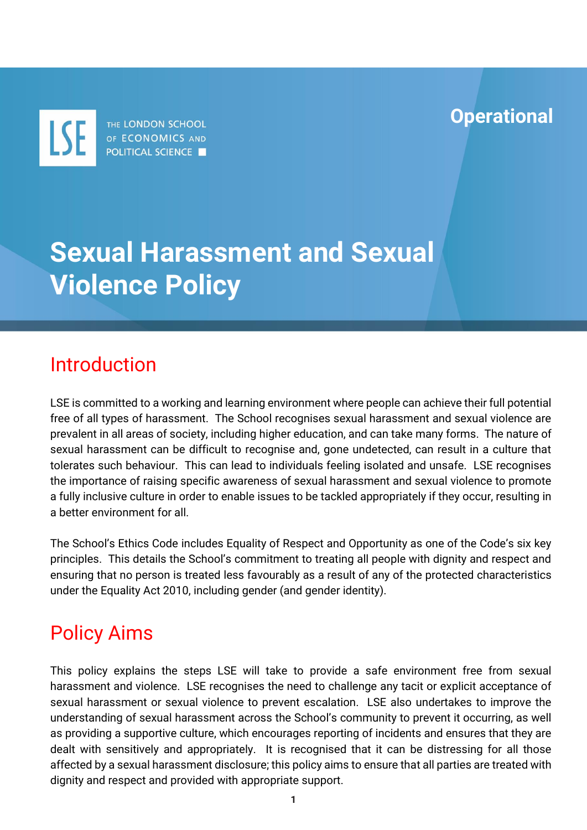**Operational**

THE LONDON SCHOOL LSE OF ECONOMICS AND **POLITICAL SCIENCE** 

# **Sexual Harassment and Sexual Violence Policy**

### Introduction

LSE is committed to a working and learning environment where people can achieve their full potential free of all types of harassment. The School recognises sexual harassment and sexual violence are prevalent in all areas of society, including higher education, and can take many forms. The nature of sexual harassment can be difficult to recognise and, gone undetected, can result in a culture that tolerates such behaviour. This can lead to individuals feeling isolated and unsafe. LSE recognises the importance of raising specific awareness of sexual harassment and sexual violence to promote a fully inclusive culture in order to enable issues to be tackled appropriately if they occur, resulting in a better environment for all.

The School's Ethics Code includes Equality of Respect and Opportunity as one of the Code's six key principles. This details the School's commitment to treating all people with dignity and respect and ensuring that no person is treated less favourably as a result of any of the protected characteristics under the Equality Act 2010, including gender (and gender identity).

# Policy Aims

This policy explains the steps LSE will take to provide a safe environment free from sexual harassment and violence. LSE recognises the need to challenge any tacit or explicit acceptance of sexual harassment or sexual violence to prevent escalation. LSE also undertakes to improve the understanding of sexual harassment across the School's community to prevent it occurring, as well as providing a supportive culture, which encourages reporting of incidents and ensures that they are dealt with sensitively and appropriately. It is recognised that it can be distressing for all those affected by a sexual harassment disclosure; this policy aims to ensure that all parties are treated with dignity and respect and provided with appropriate support.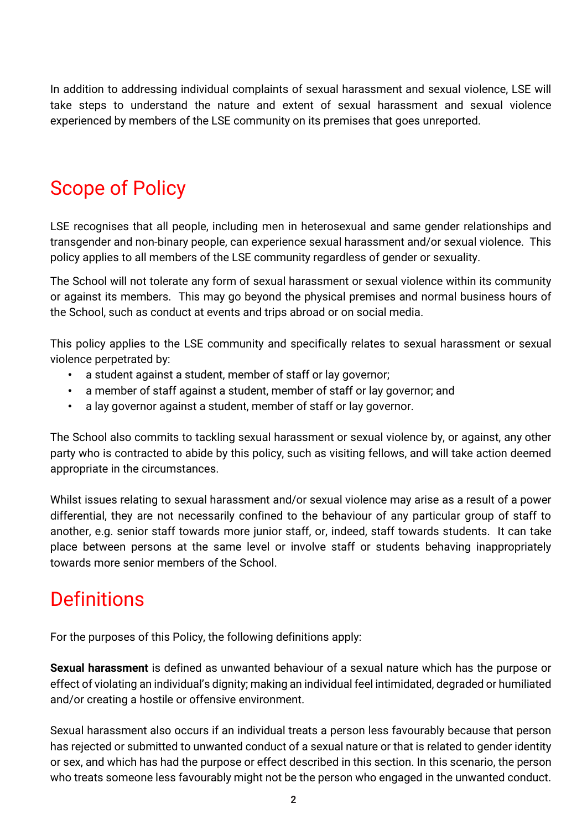In addition to addressing individual complaints of sexual harassment and sexual violence, LSE will take steps to understand the nature and extent of sexual harassment and sexual violence experienced by members of the LSE community on its premises that goes unreported.

# Scope of Policy

LSE recognises that all people, including men in heterosexual and same gender relationships and transgender and non-binary people, can experience sexual harassment and/or sexual violence. This policy applies to all members of the LSE community regardless of gender or sexuality.

The School will not tolerate any form of sexual harassment or sexual violence within its community or against its members. This may go beyond the physical premises and normal business hours of the School, such as conduct at events and trips abroad or on social media.

This policy applies to the LSE community and specifically relates to sexual harassment or sexual violence perpetrated by:

- a student against a student, member of staff or lay governor;
- a member of staff against a student, member of staff or lay governor; and
- a lay governor against a student, member of staff or lay governor.

The School also commits to tackling sexual harassment or sexual violence by, or against, any other party who is contracted to abide by this policy, such as visiting fellows, and will take action deemed appropriate in the circumstances.

Whilst issues relating to sexual harassment and/or sexual violence may arise as a result of a power differential, they are not necessarily confined to the behaviour of any particular group of staff to another, e.g. senior staff towards more junior staff, or, indeed, staff towards students. It can take place between persons at the same level or involve staff or students behaving inappropriately towards more senior members of the School.

# **Definitions**

For the purposes of this Policy, the following definitions apply:

**Sexual harassment** is defined as unwanted behaviour of a sexual nature which has the purpose or effect of violating an individual's dignity; making an individual feel intimidated, degraded or humiliated and/or creating a hostile or offensive environment.

Sexual harassment also occurs if an individual treats a person less favourably because that person has rejected or submitted to unwanted conduct of a sexual nature or that is related to gender identity or sex, and which has had the purpose or effect described in this section. In this scenario, the person who treats someone less favourably might not be the person who engaged in the unwanted conduct.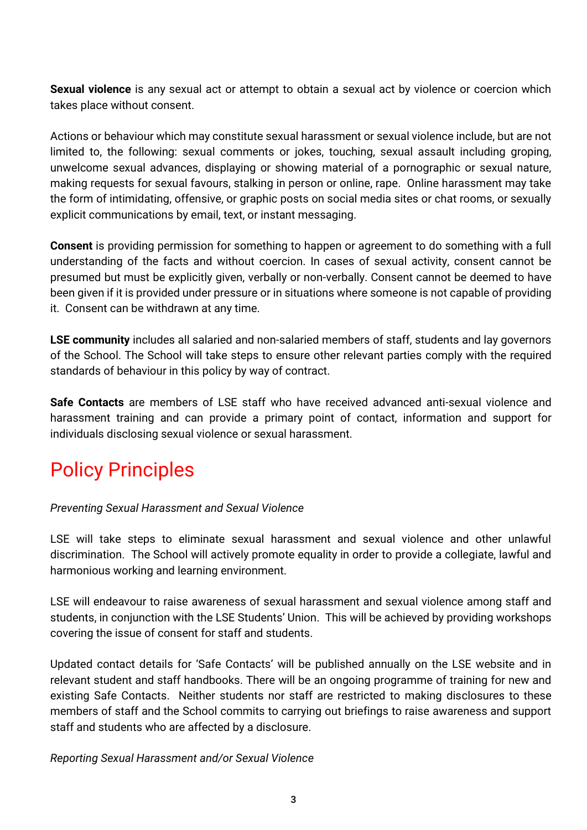**Sexual violence** is any sexual act or attempt to obtain a sexual act by violence or coercion which takes place without consent.

Actions or behaviour which may constitute sexual harassment or sexual violence include, but are not limited to, the following: sexual comments or jokes, touching, sexual assault including groping, unwelcome sexual advances, displaying or showing material of a pornographic or sexual nature, making requests for sexual favours, stalking in person or online, rape. Online harassment may take the form of intimidating, offensive, or graphic posts on social media sites or chat rooms, or sexually explicit communications by email, text, or instant messaging.

**Consent** is providing permission for something to happen or agreement to do something with a full understanding of the facts and without coercion. In cases of sexual activity, consent cannot be presumed but must be explicitly given, verbally or non-verbally. Consent cannot be deemed to have been given if it is provided under pressure or in situations where someone is not capable of providing it. Consent can be withdrawn at any time.

**LSE community** includes all salaried and non-salaried members of staff, students and lay governors of the School. The School will take steps to ensure other relevant parties comply with the required standards of behaviour in this policy by way of contract.

**Safe Contacts** are members of LSE staff who have received advanced anti-sexual violence and harassment training and can provide a primary point of contact, information and support for individuals disclosing sexual violence or sexual harassment.

# Policy Principles

#### *Preventing Sexual Harassment and Sexual Violence*

LSE will take steps to eliminate sexual harassment and sexual violence and other unlawful discrimination. The School will actively promote equality in order to provide a collegiate, lawful and harmonious working and learning environment.

LSE will endeavour to raise awareness of sexual harassment and sexual violence among staff and students, in conjunction with the LSE Students' Union. This will be achieved by providing workshops covering the issue of consent for staff and students.

Updated contact details for 'Safe Contacts' will be published annually on the LSE website and in relevant student and staff handbooks. There will be an ongoing programme of training for new and existing Safe Contacts. Neither students nor staff are restricted to making disclosures to these members of staff and the School commits to carrying out briefings to raise awareness and support staff and students who are affected by a disclosure.

*Reporting Sexual Harassment and/or Sexual Violence*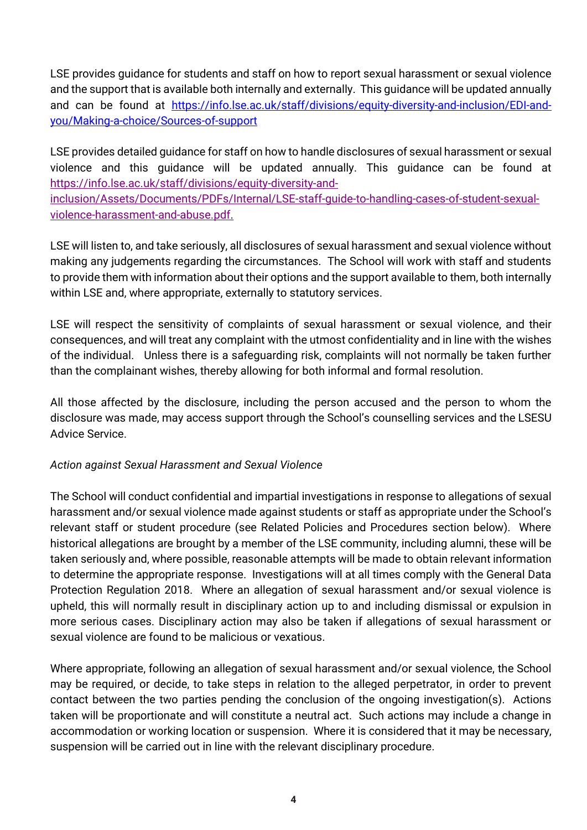LSE provides guidance for students and staff on how to report sexual harassment or sexual violence and the support that is available both internally and externally. This guidance will be updated annually and can be found at [https://info.lse.ac.uk/staff/divisions/equity-diversity-and-inclusion/EDI-and](https://info.lse.ac.uk/staff/divisions/equity-diversity-and-inclusion/EDI-and-you/Making-a-choice/Sources-of-support)[you/Making-a-choice/Sources-of-support](https://info.lse.ac.uk/staff/divisions/equity-diversity-and-inclusion/EDI-and-you/Making-a-choice/Sources-of-support)

LSE provides detailed guidance for staff on how to handle disclosures of sexual harassment or sexual violence and this guidance will be updated annually. This guidance can be found at [https://info.lse.ac.uk/staff/divisions/equity-diversity-and-](https://info.lse.ac.uk/staff/divisions/equity-diversity-and-inclusion/Assets/Documents/PDFs/Internal/LSE-staff-guide-to-handling-cases-of-student-sexual-violence-harassment-and-abuse.pdf)

[inclusion/Assets/Documents/PDFs/Internal/LSE-staff-guide-to-handling-cases-of-student-sexual](https://info.lse.ac.uk/staff/divisions/equity-diversity-and-inclusion/Assets/Documents/PDFs/Internal/LSE-staff-guide-to-handling-cases-of-student-sexual-violence-harassment-and-abuse.pdf)[violence-harassment-and-abuse.pdf.](https://info.lse.ac.uk/staff/divisions/equity-diversity-and-inclusion/Assets/Documents/PDFs/Internal/LSE-staff-guide-to-handling-cases-of-student-sexual-violence-harassment-and-abuse.pdf)

LSE will listen to, and take seriously, all disclosures of sexual harassment and sexual violence without making any judgements regarding the circumstances. The School will work with staff and students to provide them with information about their options and the support available to them, both internally within LSE and, where appropriate, externally to statutory services.

LSE will respect the sensitivity of complaints of sexual harassment or sexual violence, and their consequences, and will treat any complaint with the utmost confidentiality and in line with the wishes of the individual. Unless there is a safeguarding risk, complaints will not normally be taken further than the complainant wishes, thereby allowing for both informal and formal resolution.

All those affected by the disclosure, including the person accused and the person to whom the disclosure was made, may access support through the School's counselling services and the LSESU Advice Service.

#### *Action against Sexual Harassment and Sexual Violence*

The School will conduct confidential and impartial investigations in response to allegations of sexual harassment and/or sexual violence made against students or staff as appropriate under the School's relevant staff or student procedure (see Related Policies and Procedures section below). Where historical allegations are brought by a member of the LSE community, including alumni, these will be taken seriously and, where possible, reasonable attempts will be made to obtain relevant information to determine the appropriate response. Investigations will at all times comply with the General Data Protection Regulation 2018. Where an allegation of sexual harassment and/or sexual violence is upheld, this will normally result in disciplinary action up to and including dismissal or expulsion in more serious cases. Disciplinary action may also be taken if allegations of sexual harassment or sexual violence are found to be malicious or vexatious.

Where appropriate, following an allegation of sexual harassment and/or sexual violence, the School may be required, or decide, to take steps in relation to the alleged perpetrator, in order to prevent contact between the two parties pending the conclusion of the ongoing investigation(s). Actions taken will be proportionate and will constitute a neutral act. Such actions may include a change in accommodation or working location or suspension. Where it is considered that it may be necessary, suspension will be carried out in line with the relevant disciplinary procedure.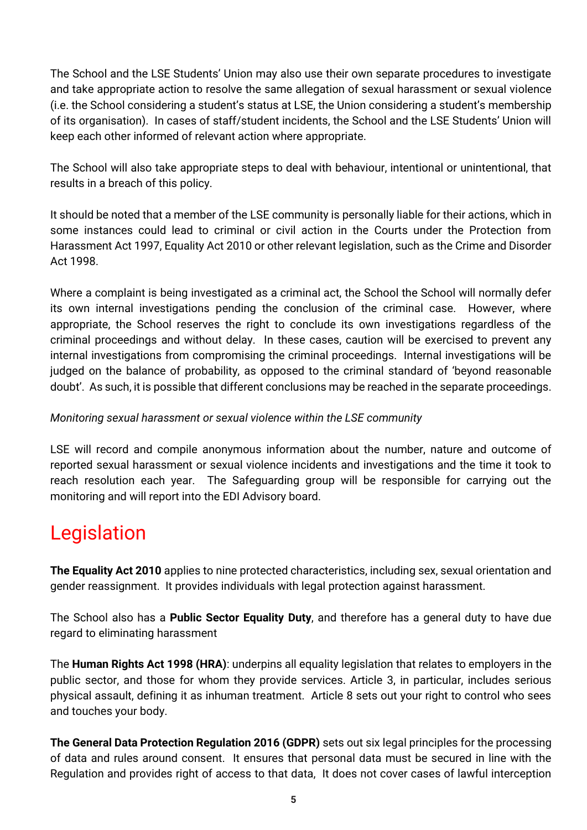The School and the LSE Students' Union may also use their own separate procedures to investigate and take appropriate action to resolve the same allegation of sexual harassment or sexual violence (i.e. the School considering a student's status at LSE, the Union considering a student's membership of its organisation). In cases of staff/student incidents, the School and the LSE Students' Union will keep each other informed of relevant action where appropriate.

The School will also take appropriate steps to deal with behaviour, intentional or unintentional, that results in a breach of this policy.

It should be noted that a member of the LSE community is personally liable for their actions, which in some instances could lead to criminal or civil action in the Courts under the Protection from Harassment Act 1997, Equality Act 2010 or other relevant legislation, such as the Crime and Disorder Act 1998.

Where a complaint is being investigated as a criminal act, the School the School will normally defer its own internal investigations pending the conclusion of the criminal case. However, where appropriate, the School reserves the right to conclude its own investigations regardless of the criminal proceedings and without delay. In these cases, caution will be exercised to prevent any internal investigations from compromising the criminal proceedings. Internal investigations will be judged on the balance of probability, as opposed to the criminal standard of 'beyond reasonable doubt'. As such, it is possible that different conclusions may be reached in the separate proceedings.

#### *Monitoring sexual harassment or sexual violence within the LSE community*

LSE will record and compile anonymous information about the number, nature and outcome of reported sexual harassment or sexual violence incidents and investigations and the time it took to reach resolution each year. The Safeguarding group will be responsible for carrying out the monitoring and will report into the EDI Advisory board.

### Legislation

**The Equality Act 2010** applies to nine protected characteristics, including sex, sexual orientation and gender reassignment. It provides individuals with legal protection against harassment.

The School also has a **Public Sector Equality Duty**, and therefore has a general duty to have due regard to eliminating harassment

The **Human Rights Act 1998 (HRA)**: underpins all equality legislation that relates to employers in the public sector, and those for whom they provide services. Article 3, in particular, includes serious physical assault, defining it as inhuman treatment. Article 8 sets out your right to control who sees and touches your body.

**The General Data Protection Regulation 2016 (GDPR)** sets out six legal principles for the processing of data and rules around consent. It ensures that personal data must be secured in line with the Regulation and provides right of access to that data, It does not cover cases of lawful interception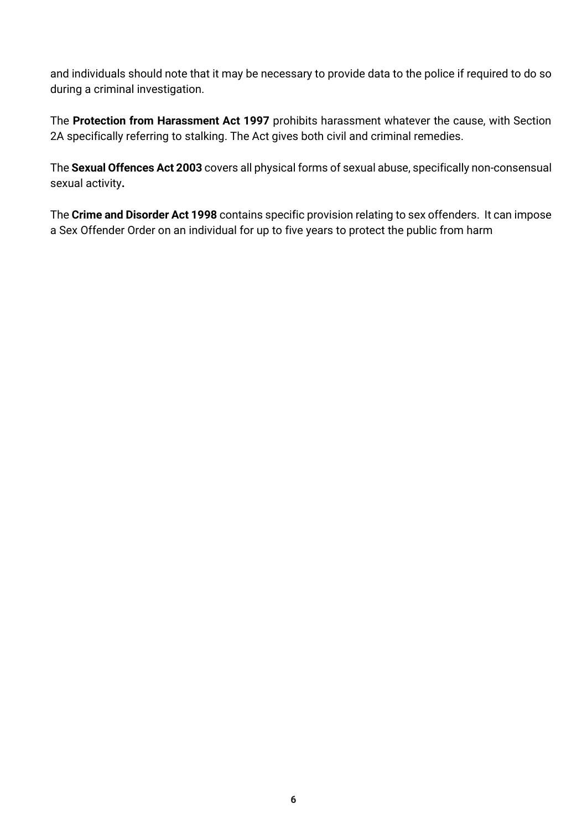and individuals should note that it may be necessary to provide data to the police if required to do so during a criminal investigation.

The **Protection from Harassment Act 1997** prohibits harassment whatever the cause, with Section 2A specifically referring to stalking. The Act gives both civil and criminal remedies.

The **Sexual Offences Act 2003** covers all physical forms of sexual abuse, specifically non-consensual sexual activity**.**

The **Crime and Disorder Act 1998** contains specific provision relating to sex offenders. It can impose a Sex Offender Order on an individual for up to five years to protect the public from harm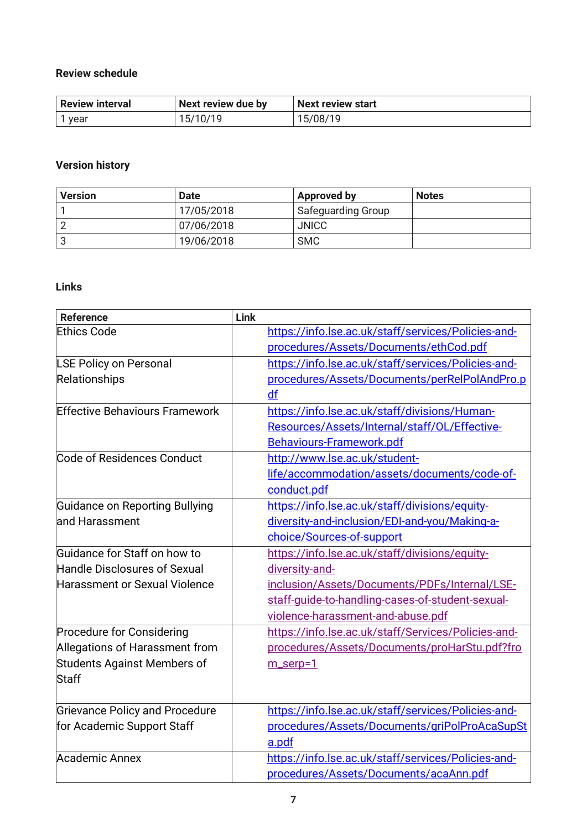#### **Review schedule**

| <b>Review interval</b> | Next review due by | Next review start |
|------------------------|--------------------|-------------------|
| l vear                 | 15/10/19           | 5/08/19           |

#### **Version history**

| <b>Version</b> | <b>Date</b> | Approved by               | <b>Notes</b> |
|----------------|-------------|---------------------------|--------------|
|                | 17/05/2018  | <b>Safeguarding Group</b> |              |
|                | 07/06/2018  | <b>JNICC</b>              |              |
|                | 19/06/2018  | <b>SMC</b>                |              |

#### **Links**

| <b>Reference</b>                      | Link |                                                     |
|---------------------------------------|------|-----------------------------------------------------|
| <b>Ethics Code</b>                    |      | https://info.lse.ac.uk/staff/services/Policies-and- |
|                                       |      | procedures/Assets/Documents/ethCod.pdf              |
| LSE Policy on Personal                |      | https://info.lse.ac.uk/staff/services/Policies-and- |
| Relationships                         |      | procedures/Assets/Documents/perRelPolAndPro.p       |
|                                       |      | df                                                  |
| <b>Effective Behaviours Framework</b> |      | https://info.lse.ac.uk/staff/divisions/Human-       |
|                                       |      | Resources/Assets/Internal/staff/OL/Effective-       |
|                                       |      | Behaviours-Framework.pdf                            |
| Code of Residences Conduct            |      | http://www.lse.ac.uk/student-                       |
|                                       |      | life/accommodation/assets/documents/code-of-        |
|                                       |      | conduct.pdf                                         |
| Guidance on Reporting Bullying        |      | https://info.lse.ac.uk/staff/divisions/equity-      |
| land Harassment                       |      | diversity-and-inclusion/EDI-and-you/Making-a-       |
|                                       |      | choice/Sources-of-support                           |
| Guidance for Staff on how to          |      | https://info.lse.ac.uk/staff/divisions/equity-      |
| Handle Disclosures of Sexual          |      | diversity-and-                                      |
| Harassment or Sexual Violence         |      | inclusion/Assets/Documents/PDFs/Internal/LSE-       |
|                                       |      | staff-quide-to-handling-cases-of-student-sexual-    |
|                                       |      | violence-harassment-and-abuse.pdf                   |
| Procedure for Considering             |      | https://info.lse.ac.uk/staff/Services/Policies-and- |
| Allegations of Harassment from        |      | procedures/Assets/Documents/proHarStu.pdf?fro       |
| Students Against Members of           |      | m_serp=1                                            |
| Staff                                 |      |                                                     |
| <b>Grievance Policy and Procedure</b> |      | https://info.lse.ac.uk/staff/services/Policies-and- |
| for Academic Support Staff            |      | procedures/Assets/Documents/griPolProAcaSupSt       |
|                                       |      | a.pdf                                               |
| Academic Annex                        |      | https://info.lse.ac.uk/staff/services/Policies-and- |
|                                       |      | procedures/Assets/Documents/acaAnn.pdf              |